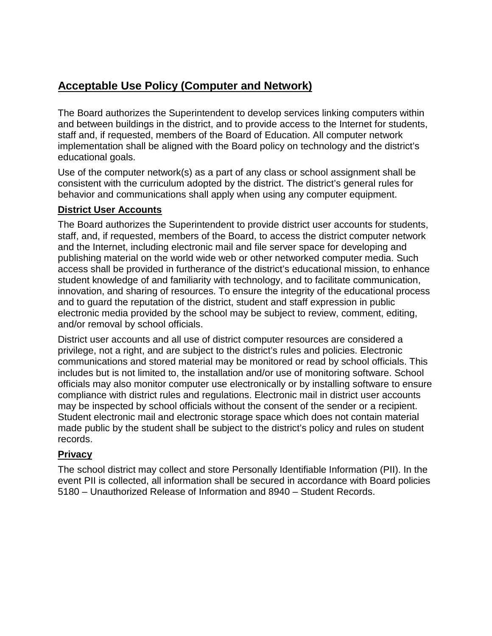# **Acceptable Use Policy (Computer and Network)**

The Board authorizes the Superintendent to develop services linking computers within and between buildings in the district, and to provide access to the Internet for students, staff and, if requested, members of the Board of Education. All computer network implementation shall be aligned with the Board policy on technology and the district's educational goals.

Use of the computer network(s) as a part of any class or school assignment shall be consistent with the curriculum adopted by the district. The district's general rules for behavior and communications shall apply when using any computer equipment.

# **District User Accounts**

The Board authorizes the Superintendent to provide district user accounts for students, staff, and, if requested, members of the Board, to access the district computer network and the Internet, including electronic mail and file server space for developing and publishing material on the world wide web or other networked computer media. Such access shall be provided in furtherance of the district's educational mission, to enhance student knowledge of and familiarity with technology, and to facilitate communication, innovation, and sharing of resources. To ensure the integrity of the educational process and to guard the reputation of the district, student and staff expression in public electronic media provided by the school may be subject to review, comment, editing, and/or removal by school officials.

District user accounts and all use of district computer resources are considered a privilege, not a right, and are subject to the district's rules and policies. Electronic communications and stored material may be monitored or read by school officials. This includes but is not limited to, the installation and/or use of monitoring software. School officials may also monitor computer use electronically or by installing software to ensure compliance with district rules and regulations. Electronic mail in district user accounts may be inspected by school officials without the consent of the sender or a recipient. Student electronic mail and electronic storage space which does not contain material made public by the student shall be subject to the district's policy and rules on student records.

#### **Privacy**

The school district may collect and store Personally Identifiable Information (PII). In the event PII is collected, all information shall be secured in accordance with Board policies 5180 – Unauthorized Release of Information and 8940 – Student Records.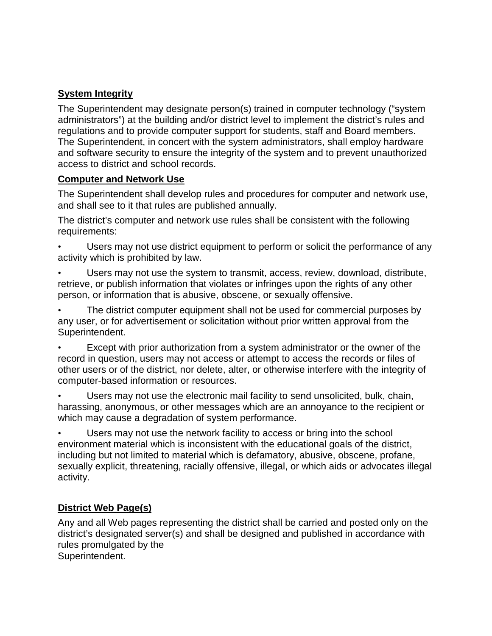### **System Integrity**

The Superintendent may designate person(s) trained in computer technology ("system administrators") at the building and/or district level to implement the district's rules and regulations and to provide computer support for students, staff and Board members. The Superintendent, in concert with the system administrators, shall employ hardware and software security to ensure the integrity of the system and to prevent unauthorized access to district and school records.

#### **Computer and Network Use**

The Superintendent shall develop rules and procedures for computer and network use, and shall see to it that rules are published annually.

The district's computer and network use rules shall be consistent with the following requirements:

- Users may not use district equipment to perform or solicit the performance of any activity which is prohibited by law.
- Users may not use the system to transmit, access, review, download, distribute, retrieve, or publish information that violates or infringes upon the rights of any other person, or information that is abusive, obscene, or sexually offensive.
- The district computer equipment shall not be used for commercial purposes by any user, or for advertisement or solicitation without prior written approval from the Superintendent.
- Except with prior authorization from a system administrator or the owner of the record in question, users may not access or attempt to access the records or files of other users or of the district, nor delete, alter, or otherwise interfere with the integrity of computer-based information or resources.
- Users may not use the electronic mail facility to send unsolicited, bulk, chain, harassing, anonymous, or other messages which are an annoyance to the recipient or which may cause a degradation of system performance.

Users may not use the network facility to access or bring into the school environment material which is inconsistent with the educational goals of the district, including but not limited to material which is defamatory, abusive, obscene, profane, sexually explicit, threatening, racially offensive, illegal, or which aids or advocates illegal activity.

# **District Web Page(s)**

Any and all Web pages representing the district shall be carried and posted only on the district's designated server(s) and shall be designed and published in accordance with rules promulgated by the Superintendent.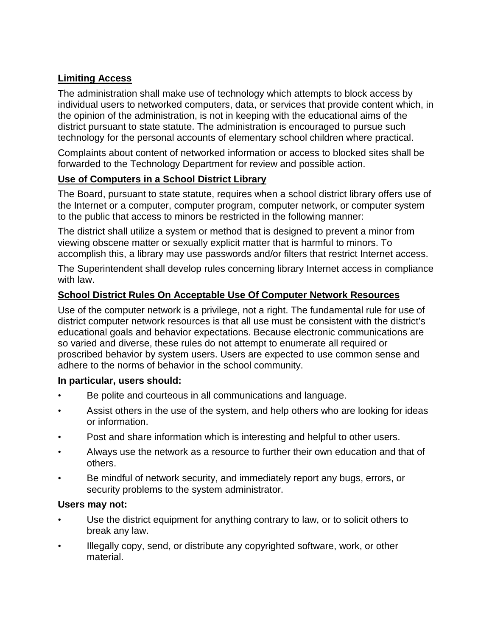# **Limiting Access**

The administration shall make use of technology which attempts to block access by individual users to networked computers, data, or services that provide content which, in the opinion of the administration, is not in keeping with the educational aims of the district pursuant to state statute. The administration is encouraged to pursue such technology for the personal accounts of elementary school children where practical.

Complaints about content of networked information or access to blocked sites shall be forwarded to the Technology Department for review and possible action.

#### **Use of Computers in a School District Library**

The Board, pursuant to state statute, requires when a school district library offers use of the Internet or a computer, computer program, computer network, or computer system to the public that access to minors be restricted in the following manner:

The district shall utilize a system or method that is designed to prevent a minor from viewing obscene matter or sexually explicit matter that is harmful to minors. To accomplish this, a library may use passwords and/or filters that restrict Internet access.

The Superintendent shall develop rules concerning library Internet access in compliance with law.

# **School District Rules On Acceptable Use Of Computer Network Resources**

Use of the computer network is a privilege, not a right. The fundamental rule for use of district computer network resources is that all use must be consistent with the district's educational goals and behavior expectations. Because electronic communications are so varied and diverse, these rules do not attempt to enumerate all required or proscribed behavior by system users. Users are expected to use common sense and adhere to the norms of behavior in the school community.

#### **In particular, users should:**

- Be polite and courteous in all communications and language.
- Assist others in the use of the system, and help others who are looking for ideas or information.
- Post and share information which is interesting and helpful to other users.
- Always use the network as a resource to further their own education and that of others.
- Be mindful of network security, and immediately report any bugs, errors, or security problems to the system administrator.

#### **Users may not:**

- Use the district equipment for anything contrary to law, or to solicit others to break any law.
- Illegally copy, send, or distribute any copyrighted software, work, or other material.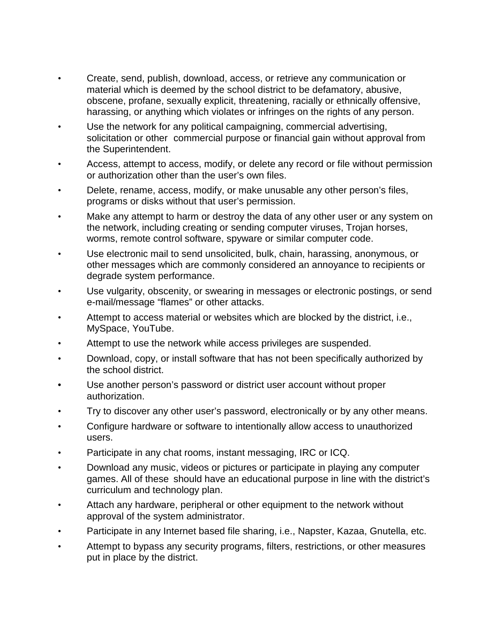- Create, send, publish, download, access, or retrieve any communication or material which is deemed by the school district to be defamatory, abusive, obscene, profane, sexually explicit, threatening, racially or ethnically offensive, harassing, or anything which violates or infringes on the rights of any person.
- Use the network for any political campaigning, commercial advertising, solicitation or other commercial purpose or financial gain without approval from the Superintendent.
- Access, attempt to access, modify, or delete any record or file without permission or authorization other than the user's own files.
- Delete, rename, access, modify, or make unusable any other person's files, programs or disks without that user's permission.
- Make any attempt to harm or destroy the data of any other user or any system on the network, including creating or sending computer viruses, Trojan horses, worms, remote control software, spyware or similar computer code.
- Use electronic mail to send unsolicited, bulk, chain, harassing, anonymous, or other messages which are commonly considered an annoyance to recipients or degrade system performance.
- Use vulgarity, obscenity, or swearing in messages or electronic postings, or send e-mail/message "flames" or other attacks.
- Attempt to access material or websites which are blocked by the district, i.e., MySpace, YouTube.
- Attempt to use the network while access privileges are suspended.
- Download, copy, or install software that has not been specifically authorized by the school district.
- **•** Use another person's password or district user account without proper authorization.
- Try to discover any other user's password, electronically or by any other means.
- Configure hardware or software to intentionally allow access to unauthorized users.
- Participate in any chat rooms, instant messaging, IRC or ICQ.
- Download any music, videos or pictures or participate in playing any computer games. All of these should have an educational purpose in line with the district's curriculum and technology plan.
- Attach any hardware, peripheral or other equipment to the network without approval of the system administrator.
- Participate in any Internet based file sharing, i.e., Napster, Kazaa, Gnutella, etc.
- Attempt to bypass any security programs, filters, restrictions, or other measures put in place by the district.